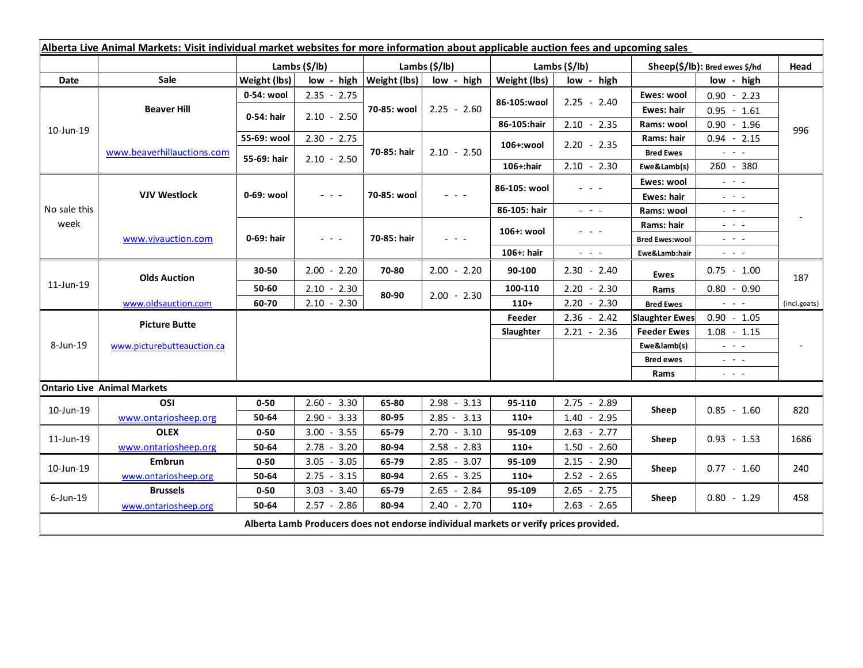| Alberta Live Animal Markets: Visit individual market websites for more information about applicable auction fees and upcoming sales |                                    |               |                                                                                                                                                                                                                                                                                                                                         |                           |               |               |                                                                                                                           |                               |                                                                                                                                                                                                                                                                                                                                                                                                                                                |              |
|-------------------------------------------------------------------------------------------------------------------------------------|------------------------------------|---------------|-----------------------------------------------------------------------------------------------------------------------------------------------------------------------------------------------------------------------------------------------------------------------------------------------------------------------------------------|---------------------------|---------------|---------------|---------------------------------------------------------------------------------------------------------------------------|-------------------------------|------------------------------------------------------------------------------------------------------------------------------------------------------------------------------------------------------------------------------------------------------------------------------------------------------------------------------------------------------------------------------------------------------------------------------------------------|--------------|
|                                                                                                                                     |                                    | Lambs (\$/lb) |                                                                                                                                                                                                                                                                                                                                         | Lambs $(\frac{2}{3})$ lb) |               | Lambs (\$/lb) |                                                                                                                           | Sheep(\$/lb): Bred ewes \$/hd |                                                                                                                                                                                                                                                                                                                                                                                                                                                | Head         |
| Date                                                                                                                                | Sale                               | Weight (lbs)  | low - high                                                                                                                                                                                                                                                                                                                              | <b>Weight (lbs)</b>       | low - high    | Weight (lbs)  | low - high                                                                                                                |                               | low - high                                                                                                                                                                                                                                                                                                                                                                                                                                     |              |
| 10-Jun-19                                                                                                                           | <b>Beaver Hill</b>                 | 0-54: wool    | $2.35 - 2.75$                                                                                                                                                                                                                                                                                                                           | 70-85: wool               | $2.25 - 2.60$ | 86-105:wool   | $2.25 - 2.40$                                                                                                             | Ewes: wool                    | $0.90 - 2.23$                                                                                                                                                                                                                                                                                                                                                                                                                                  |              |
|                                                                                                                                     |                                    | 0-54: hair    | $2.10 - 2.50$                                                                                                                                                                                                                                                                                                                           |                           |               |               |                                                                                                                           | <b>Ewes: hair</b>             | $0.95 - 1.61$                                                                                                                                                                                                                                                                                                                                                                                                                                  |              |
|                                                                                                                                     |                                    |               |                                                                                                                                                                                                                                                                                                                                         |                           |               | 86-105:hair   | $2.10 - 2.35$                                                                                                             | Rams: wool                    | $0.90 - 1.96$                                                                                                                                                                                                                                                                                                                                                                                                                                  | 996          |
|                                                                                                                                     | www.beaverhillauctions.com         | 55-69: wool   | $2.30 - 2.75$                                                                                                                                                                                                                                                                                                                           | 70-85: hair               | $2.10 - 2.50$ | 106+:wool     | $2.20 - 2.35$                                                                                                             | Rams: hair                    | $0.94 - 2.15$                                                                                                                                                                                                                                                                                                                                                                                                                                  |              |
|                                                                                                                                     |                                    | 55-69: hair   | $2.10 - 2.50$                                                                                                                                                                                                                                                                                                                           |                           |               |               |                                                                                                                           | <b>Bred Ewes</b>              | $\omega_{\rm{eff}}$ and $\omega_{\rm{eff}}$                                                                                                                                                                                                                                                                                                                                                                                                    |              |
|                                                                                                                                     |                                    |               |                                                                                                                                                                                                                                                                                                                                         |                           |               | 106+:hair     | $2.10 - 2.30$                                                                                                             | Ewe&Lamb(s)                   | 260 - 380                                                                                                                                                                                                                                                                                                                                                                                                                                      |              |
| No sale this<br>week                                                                                                                | <b>VJV Westlock</b>                | 0-69: wool    | $\frac{1}{2} \left( \begin{array}{ccc} 1 & 0 & 0 \\ 0 & 0 & 0 \\ 0 & 0 & 0 \\ 0 & 0 & 0 \\ 0 & 0 & 0 \\ 0 & 0 & 0 \\ 0 & 0 & 0 \\ 0 & 0 & 0 \\ 0 & 0 & 0 \\ 0 & 0 & 0 \\ 0 & 0 & 0 \\ 0 & 0 & 0 & 0 \\ 0 & 0 & 0 & 0 \\ 0 & 0 & 0 & 0 \\ 0 & 0 & 0 & 0 & 0 \\ 0 & 0 & 0 & 0 & 0 \\ 0 & 0 & 0 & 0 & 0 \\ 0 & 0 & 0 & 0 & 0 \\ 0 & 0 & 0$ | 70-85: wool               | $ -$          | 86-105: wool  | $\frac{1}{2} \left( \frac{1}{2} \right) \left( \frac{1}{2} \right) \left( \frac{1}{2} \right) \left( \frac{1}{2} \right)$ | Ewes: wool                    | $\omega_{\rm{eff}}=0.1$                                                                                                                                                                                                                                                                                                                                                                                                                        |              |
|                                                                                                                                     |                                    |               |                                                                                                                                                                                                                                                                                                                                         |                           |               |               |                                                                                                                           | Ewes: hair                    | $\frac{1}{2} \left( \frac{1}{2} \right) \frac{1}{2} \left( \frac{1}{2} \right) \frac{1}{2} \left( \frac{1}{2} \right) \frac{1}{2} \left( \frac{1}{2} \right) \frac{1}{2} \left( \frac{1}{2} \right) \frac{1}{2} \left( \frac{1}{2} \right) \frac{1}{2} \left( \frac{1}{2} \right) \frac{1}{2} \left( \frac{1}{2} \right) \frac{1}{2} \left( \frac{1}{2} \right) \frac{1}{2} \left( \frac{1}{2} \right) \frac{1}{2} \left( \frac{1}{2} \right)$ |              |
|                                                                                                                                     |                                    |               |                                                                                                                                                                                                                                                                                                                                         |                           |               | 86-105: hair  | $\frac{1}{2} \left( \frac{1}{2} \right) = \frac{1}{2} \left( \frac{1}{2} \right) = \frac{1}{2}$                           | Rams: wool                    | $  -$                                                                                                                                                                                                                                                                                                                                                                                                                                          |              |
|                                                                                                                                     | www.vivauction.com                 | 0-69: hair    | $  -$                                                                                                                                                                                                                                                                                                                                   | 70-85: hair               | $  -$         | 106+: wool    | - - -                                                                                                                     | Rams: hair                    | 20 A G                                                                                                                                                                                                                                                                                                                                                                                                                                         |              |
|                                                                                                                                     |                                    |               |                                                                                                                                                                                                                                                                                                                                         |                           |               |               |                                                                                                                           | <b>Bred Ewes:wool</b>         | $  -$                                                                                                                                                                                                                                                                                                                                                                                                                                          |              |
|                                                                                                                                     |                                    |               |                                                                                                                                                                                                                                                                                                                                         |                           |               | 106+: hair    | $\omega_{\rm{eff}}$ and $\omega_{\rm{eff}}$                                                                               | Ewe&Lamb:hair                 | $\omega_{\rm{c}}$ , $\omega_{\rm{c}}$ , $\omega_{\rm{c}}$                                                                                                                                                                                                                                                                                                                                                                                      |              |
| 11-Jun-19                                                                                                                           | <b>Olds Auction</b>                | 30-50         | $2.00 - 2.20$                                                                                                                                                                                                                                                                                                                           | 70-80                     | $2.00 - 2.20$ | 90-100        | $2.30 - 2.40$                                                                                                             | Ewes                          | $0.75 - 1.00$                                                                                                                                                                                                                                                                                                                                                                                                                                  | 187          |
|                                                                                                                                     |                                    | 50-60         | $2.10 - 2.30$                                                                                                                                                                                                                                                                                                                           | 80-90                     | $2.00 - 2.30$ | 100-110       | $2.20 - 2.30$                                                                                                             | Rams                          | $0.80 - 0.90$                                                                                                                                                                                                                                                                                                                                                                                                                                  |              |
|                                                                                                                                     | www.oldsauction.com                | 60-70         | $2.10 - 2.30$                                                                                                                                                                                                                                                                                                                           |                           |               | $110+$        | $2.20 - 2.30$                                                                                                             | <b>Bred Ewes</b>              | $\mathbb{Z}^2$ and $\mathbb{Z}^2$                                                                                                                                                                                                                                                                                                                                                                                                              | (incl.goats) |
| 8-Jun-19                                                                                                                            | <b>Picture Butte</b>               |               |                                                                                                                                                                                                                                                                                                                                         |                           |               | Feeder        | $2.36 - 2.42$                                                                                                             | <b>Slaughter Ewes</b>         | $0.90 - 1.05$                                                                                                                                                                                                                                                                                                                                                                                                                                  |              |
|                                                                                                                                     | www.picturebutteauction.ca         |               |                                                                                                                                                                                                                                                                                                                                         |                           |               | Slaughter     | $2.21 - 2.36$                                                                                                             | <b>Feeder Ewes</b>            | $1.08 - 1.15$                                                                                                                                                                                                                                                                                                                                                                                                                                  |              |
|                                                                                                                                     |                                    |               |                                                                                                                                                                                                                                                                                                                                         |                           |               |               |                                                                                                                           | Ewe&lamb(s)                   | $\omega_{\rm{eff}}$ and $\omega_{\rm{eff}}$                                                                                                                                                                                                                                                                                                                                                                                                    |              |
|                                                                                                                                     |                                    |               |                                                                                                                                                                                                                                                                                                                                         |                           |               |               |                                                                                                                           | <b>Bred ewes</b>              | $\omega_{\rm{eff}}$ and $\omega_{\rm{eff}}$                                                                                                                                                                                                                                                                                                                                                                                                    |              |
|                                                                                                                                     |                                    |               |                                                                                                                                                                                                                                                                                                                                         |                           |               |               |                                                                                                                           | Rams                          | $\frac{1}{2} \left( \frac{1}{2} \right) = \frac{1}{2} \left( \frac{1}{2} \right)$                                                                                                                                                                                                                                                                                                                                                              |              |
|                                                                                                                                     | <b>Ontario Live Animal Markets</b> |               |                                                                                                                                                                                                                                                                                                                                         |                           |               |               |                                                                                                                           |                               |                                                                                                                                                                                                                                                                                                                                                                                                                                                |              |
| 10-Jun-19                                                                                                                           | OSI                                | $0 - 50$      | $2.60 - 3.30$                                                                                                                                                                                                                                                                                                                           | 65-80                     | $2.98 - 3.13$ | 95-110        | $2.75 - 2.89$                                                                                                             | Sheep                         | $0.85 - 1.60$                                                                                                                                                                                                                                                                                                                                                                                                                                  | 820          |
|                                                                                                                                     | www.ontariosheep.org               | 50-64         | $2.90 - 3.33$                                                                                                                                                                                                                                                                                                                           | 80-95                     | $2.85 - 3.13$ | $110+$        | $1.40 - 2.95$                                                                                                             |                               |                                                                                                                                                                                                                                                                                                                                                                                                                                                |              |
| 11-Jun-19                                                                                                                           | <b>OLEX</b>                        | $0 - 50$      | $3.00 - 3.55$                                                                                                                                                                                                                                                                                                                           | 65-79                     | $2.70 - 3.10$ | 95-109        | $2.63 - 2.77$                                                                                                             | Sheep                         | $0.93 - 1.53$                                                                                                                                                                                                                                                                                                                                                                                                                                  | 1686         |
|                                                                                                                                     | www.ontariosheep.org               | 50-64         | 3.20<br>$2.78 -$                                                                                                                                                                                                                                                                                                                        | 80-94                     | $2.58 - 2.83$ | $110+$        | $1.50 - 2.60$                                                                                                             |                               |                                                                                                                                                                                                                                                                                                                                                                                                                                                |              |
| 10-Jun-19                                                                                                                           | Embrun                             | $0 - 50$      | $3.05 - 3.05$                                                                                                                                                                                                                                                                                                                           | 65-79                     | $2.85 - 3.07$ | 95-109        | $2.15 - 2.90$                                                                                                             | Sheep                         | $0.77 - 1.60$                                                                                                                                                                                                                                                                                                                                                                                                                                  | 240          |
|                                                                                                                                     | www.ontariosheep.org               | 50-64         | $2.75 - 3.15$                                                                                                                                                                                                                                                                                                                           | 80-94                     | $2.65 - 3.25$ | $110+$        | $2.52 - 2.65$                                                                                                             |                               |                                                                                                                                                                                                                                                                                                                                                                                                                                                |              |
| $6$ -Jun-19                                                                                                                         | <b>Brussels</b>                    | $0 - 50$      | $3.03 - 3.40$                                                                                                                                                                                                                                                                                                                           | 65-79                     | $2.65 - 2.84$ | 95-109        | $2.65 - 2.75$                                                                                                             | Sheep                         | $0.80 - 1.29$                                                                                                                                                                                                                                                                                                                                                                                                                                  | 458          |
|                                                                                                                                     | www.ontariosheep.org               | 50-64         | $2.57 - 2.86$                                                                                                                                                                                                                                                                                                                           | 80-94                     | $2.40 - 2.70$ | $110+$        | $2.63 - 2.65$                                                                                                             |                               |                                                                                                                                                                                                                                                                                                                                                                                                                                                |              |
| Alberta Lamb Producers does not endorse individual markets or verify prices provided.                                               |                                    |               |                                                                                                                                                                                                                                                                                                                                         |                           |               |               |                                                                                                                           |                               |                                                                                                                                                                                                                                                                                                                                                                                                                                                |              |